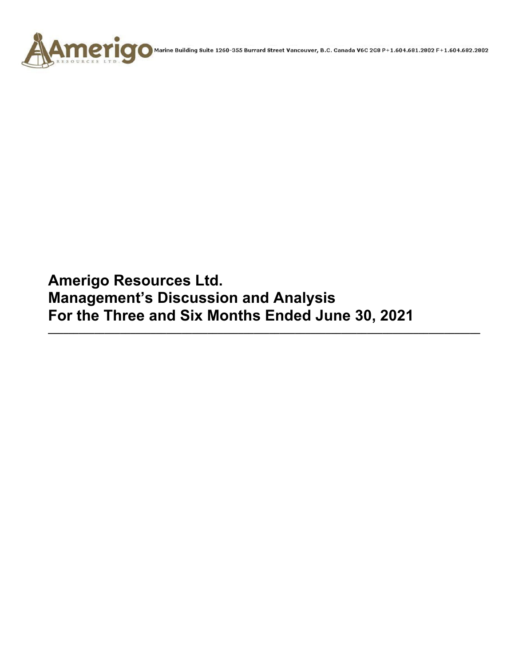

Marine Building Suite 1260-355 Burrard Street Vancouver, B.C. Canada V6C 2G8 P+1.604.681.2802 F+1.604.682.2802

**Amerigo Resources Ltd. Management's Discussion and Analysis For the Three and Six Months Ended June 30, 2021** 

**\_\_\_\_\_\_\_\_\_\_\_\_\_\_\_\_\_\_\_\_\_\_\_\_\_\_\_\_\_\_\_\_\_\_\_\_\_\_\_\_\_\_\_\_\_\_\_\_\_\_\_\_\_\_\_\_\_\_\_\_\_\_\_\_\_\_\_\_\_\_\_\_\_\_\_\_\_\_\_\_\_\_\_\_**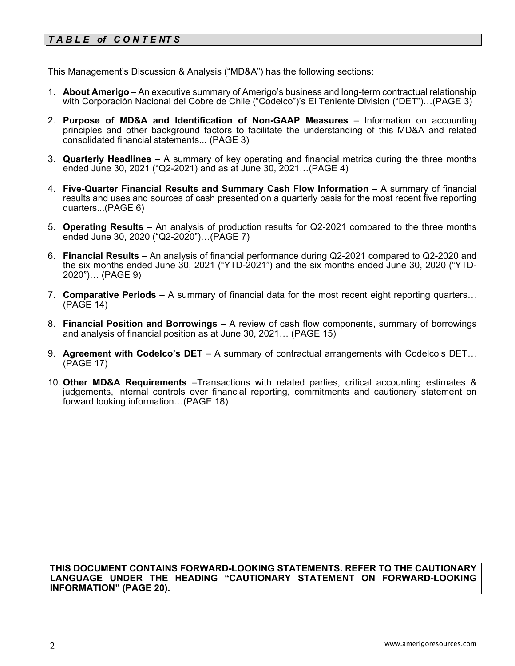# *T A B L E of C O N T E NT S*

This Management's Discussion & Analysis ("MD&A") has the following sections:

- 1. **About Amerigo**  An executive summary of Amerigo's business and long-term contractual relationship with Corporación Nacional del Cobre de Chile ("Codelco")'s El Teniente Division ("DET")…(PAGE 3)
- 2. **Purpose of MD&A and Identification of Non-GAAP Measures**  Information on accounting principles and other background factors to facilitate the understanding of this MD&A and related consolidated financial statements... (PAGE 3)
- 3. **Quarterly Headlines** A summary of key operating and financial metrics during the three months ended June 30, 2021 ("Q2-2021) and as at June 30, 2021…(PAGE 4)
- 4. **Five-Quarter Financial Results and Summary Cash Flow Information**  A summary of financial results and uses and sources of cash presented on a quarterly basis for the most recent five reporting quarters...(PAGE 6)
- 5. **Operating Results** An analysis of production results for Q2-2021 compared to the three months ended June 30, 2020 ("Q2-2020")…(PAGE 7)
- 6. **Financial Results**  An analysis of financial performance during Q2-2021 compared to Q2-2020 and the six months ended June 30, 2021 ("YTD-2021") and the six months ended June 30, 2020 ("YTD-2020")… (PAGE 9)
- 7. **Comparative Periods** A summary of financial data for the most recent eight reporting quarters… (PAGE 14)
- 8. **Financial Position and Borrowings**  A review of cash flow components, summary of borrowings and analysis of financial position as at June 30, 2021… (PAGE 15)
- 9. **Agreement with Codelco's DET** A summary of contractual arrangements with Codelco's DET… (PAGE 17)
- 10. **Other MD&A Requirements** –Transactions with related parties, critical accounting estimates & judgements, internal controls over financial reporting, commitments and cautionary statement on forward looking information…(PAGE 18)

#### **THIS DOCUMENT CONTAINS FORWARD-LOOKING STATEMENTS. REFER TO THE CAUTIONARY LANGUAGE UNDER THE HEADING "CAUTIONARY STATEMENT ON FORWARD-LOOKING INFORMATION" (PAGE 20).**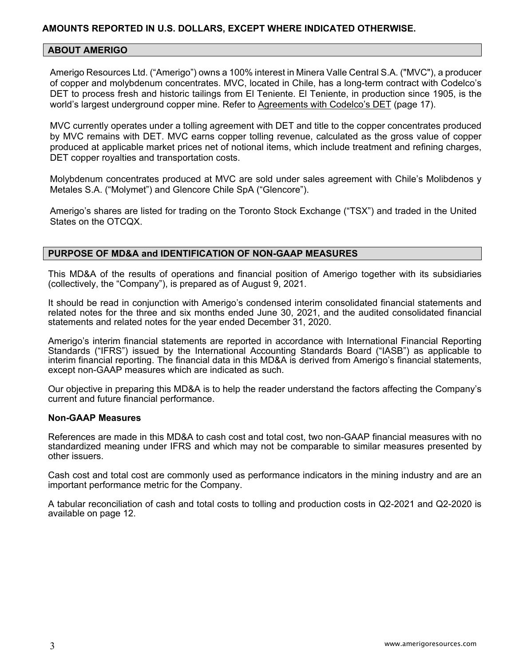### **ABOUT AMERIGO**

Amerigo Resources Ltd. ("Amerigo") owns a 100% interest in Minera Valle Central S.A. ("MVC"), a producer of copper and molybdenum concentrates. MVC, located in Chile, has a long-term contract with Codelco's DET to process fresh and historic tailings from El Teniente. El Teniente, in production since 1905, is the world's largest underground copper mine. Refer to Agreements with Codelco's DET (page 17).

MVC currently operates under a tolling agreement with DET and title to the copper concentrates produced by MVC remains with DET. MVC earns copper tolling revenue, calculated as the gross value of copper produced at applicable market prices net of notional items, which include treatment and refining charges, DET copper royalties and transportation costs.

Molybdenum concentrates produced at MVC are sold under sales agreement with Chile's Molibdenos y Metales S.A. ("Molymet") and Glencore Chile SpA ("Glencore").

Amerigo's shares are listed for trading on the Toronto Stock Exchange ("TSX") and traded in the United States on the OTCQX.

### **PURPOSE OF MD&A and IDENTIFICATION OF NON-GAAP MEASURES**

This MD&A of the results of operations and financial position of Amerigo together with its subsidiaries (collectively, the "Company"), is prepared as of August 9, 2021.

It should be read in conjunction with Amerigo's condensed interim consolidated financial statements and related notes for the three and six months ended June 30, 2021, and the audited consolidated financial statements and related notes for the year ended December 31, 2020.

Amerigo's interim financial statements are reported in accordance with International Financial Reporting Standards ("IFRS") issued by the International Accounting Standards Board ("IASB") as applicable to interim financial reporting. The financial data in this MD&A is derived from Amerigo's financial statements, except non-GAAP measures which are indicated as such.

Our objective in preparing this MD&A is to help the reader understand the factors affecting the Company's current and future financial performance.

### **Non-GAAP Measures**

References are made in this MD&A to cash cost and total cost, two non-GAAP financial measures with no standardized meaning under IFRS and which may not be comparable to similar measures presented by other issuers.

Cash cost and total cost are commonly used as performance indicators in the mining industry and are an important performance metric for the Company.

A tabular reconciliation of cash and total costs to tolling and production costs in Q2-2021 and Q2-2020 is available on page 12.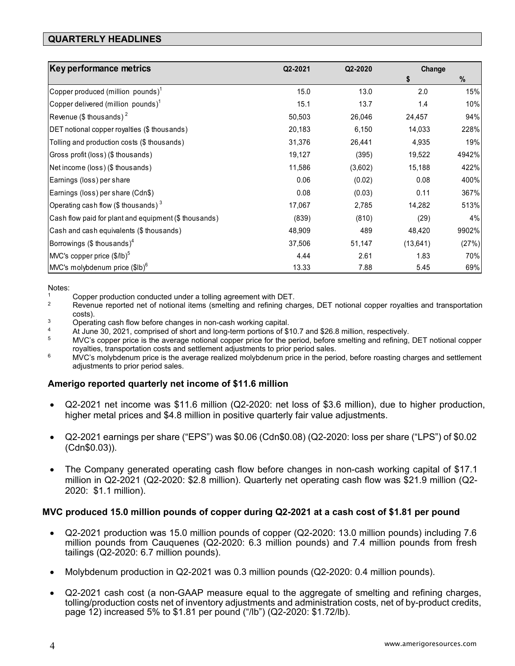# **QUARTERLY HEADLINES**

| Key performance metrics                                | Q2-2021 | Q2-2020 | Change    |       |
|--------------------------------------------------------|---------|---------|-----------|-------|
|                                                        |         |         | \$        | %     |
| Copper produced (million pounds) <sup>1</sup>          | 15.0    | 13.0    | 2.0       | 15%   |
| Copper delivered (million pounds) <sup>1</sup>         | 15.1    | 13.7    | 1.4       | 10%   |
| Revenue (\$ thous ands) <sup>2</sup>                   | 50,503  | 26,046  | 24,457    | 94%   |
| DET notional copper royalties (\$ thousands)           | 20,183  | 6,150   | 14,033    | 228%  |
| Tolling and production costs (\$ thousands)            | 31,376  | 26,441  | 4,935     | 19%   |
| Gross profit (loss) (\$ thousands)                     | 19,127  | (395)   | 19,522    | 4942% |
| Net income (loss) (\$ thousands)                       | 11,586  | (3,602) | 15,188    | 422%  |
| Earnings (loss) per share                              | 0.06    | (0.02)  | 0.08      | 400%  |
| Earnings (loss) per share (Cdn\$)                      | 0.08    | (0.03)  | 0.11      | 367%  |
| Operating cash flow (\$ thous ands) $3$                | 17,067  | 2,785   | 14,282    | 513%  |
| Cash flow paid for plant and equipment (\$ thousands)  | (839)   | (810)   | (29)      | 4%    |
| Cash and cash equivalents (\$ thousands)               | 48,909  | 489     | 48,420    | 9902% |
| Borrowings (\$ thousands) <sup>4</sup>                 | 37,506  | 51,147  | (13, 641) | (27%) |
| $M/C$ 's copper price $(\frac{1}{2}$ /lb) <sup>5</sup> | 4.44    | 2.61    | 1.83      | 70%   |
| $M/C's$ molybdenum price $$I\text{lb}$$ <sup>6</sup>   | 13.33   | 7.88    | 5.45      | 69%   |

Notes:

- 
- 1 Copper production conducted under a tolling agreement with DET.<br><sup>2</sup> Revenue reported net of notional items (smelting and refining charges, DET notional copper royalties and transportation
- costs).<br><sup>3</sup> Operating cash flow before changes in non-cash working capital.<br><sup>4</sup> At line <sup>20, 2021</sub> comprised of short and long term perfines of \$5</sup>
- 
- <sup>4</sup> At June 30, 2021, comprised of short and long-term portions of \$10.7 and \$26.8 million, respectively.<br><sup>5</sup> MVC's copper price is the average notional copper price for the period, before smelting and refining, DET notio royalties, transportation costs and settlement adjustments to prior period sales.<br><sup>6</sup> MVC's molybdenum price is the average realized molybdenum price in the period, before roasting charges and settlement
- adjustments to prior period sales.

# **Amerigo reported quarterly net income of \$11.6 million**

- Q2-2021 net income was \$11.6 million (Q2-2020: net loss of \$3.6 million), due to higher production, higher metal prices and \$4.8 million in positive quarterly fair value adjustments.
- Q2-2021 earnings per share ("EPS") was \$0.06 (Cdn\$0.08) (Q2-2020: loss per share ("LPS") of \$0.02 (Cdn\$0.03)).
- The Company generated operating cash flow before changes in non-cash working capital of \$17.1 million in Q2-2021 (Q2-2020: \$2.8 million). Quarterly net operating cash flow was \$21.9 million (Q2- 2020: \$1.1 million).

### **MVC produced 15.0 million pounds of copper during Q2-2021 at a cash cost of \$1.81 per pound**

- Q2-2021 production was 15.0 million pounds of copper (Q2-2020: 13.0 million pounds) including 7.6 million pounds from Cauquenes (Q2-2020: 6.3 million pounds) and 7.4 million pounds from fresh tailings (Q2-2020: 6.7 million pounds).
- Molybdenum production in Q2-2021 was 0.3 million pounds (Q2-2020: 0.4 million pounds).
- Q2-2021 cash cost (a non-GAAP measure equal to the aggregate of smelting and refining charges, tolling/production costs net of inventory adjustments and administration costs, net of by-product credits, page 12) increased 5% to \$1.81 per pound ("/lb") (Q2-2020: \$1.72/lb).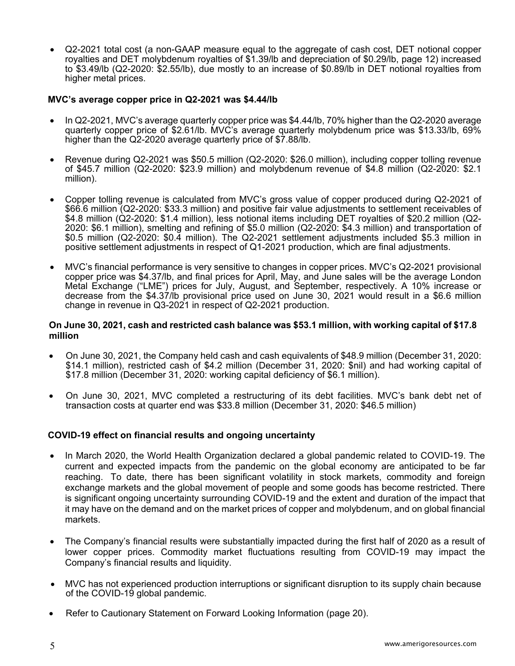Q2-2021 total cost (a non-GAAP measure equal to the aggregate of cash cost, DET notional copper royalties and DET molybdenum royalties of \$1.39/lb and depreciation of \$0.29/lb, page 12) increased to \$3.49/lb (Q2-2020: \$2.55/lb), due mostly to an increase of \$0.89/lb in DET notional royalties from higher metal prices.

### **MVC's average copper price in Q2-2021 was \$4.44/lb**

- In Q2-2021, MVC's average quarterly copper price was \$4.44/lb, 70% higher than the Q2-2020 average quarterly copper price of \$2.61/lb. MVC's average quarterly molybdenum price was \$13.33/lb, 69% higher than the Q2-2020 average quarterly price of \$7.88/lb.
- Revenue during Q2-2021 was \$50.5 million (Q2-2020: \$26.0 million), including copper tolling revenue of \$45.7 million (Q2-2020: \$23.9 million) and molybdenum revenue of \$4.8 million (Q2-2020: \$2.1 million).
- Copper tolling revenue is calculated from MVC's gross value of copper produced during Q2-2021 of \$66.6 million (Q2-2020: \$33.3 million) and positive fair value adjustments to settlement receivables of \$4.8 million (Q2-2020: \$1.4 million), less notional items including DET royalties of \$20.2 million (Q2-2020: \$6.1 million), smelting and refining of \$5.0 million (Q2-2020: \$4.3 million) and transportation of \$0.5 million (Q2-2020: \$0.4 million). The Q2-2021 settlement adjustments included \$5.3 million in positive settlement adjustments in respect of Q1-2021 production, which are final adjustments.
- MVC's financial performance is very sensitive to changes in copper prices. MVC's Q2-2021 provisional copper price was \$4.37/lb, and final prices for April, May, and June sales will be the average London Metal Exchange ("LME") prices for July, August, and September, respectively. A 10% increase or decrease from the \$4.37/lb provisional price used on June 30, 2021 would result in a \$6.6 million change in revenue in Q3-2021 in respect of Q2-2021 production.

### **On June 30, 2021, cash and restricted cash balance was \$53.1 million, with working capital of \$17.8 million**

- On June 30, 2021, the Company held cash and cash equivalents of \$48.9 million (December 31, 2020: \$14.1 million), restricted cash of \$4.2 million (December 31, 2020: \$nil) and had working capital of \$17.8 million (December 31, 2020: working capital deficiency of \$6.1 million).
- On June 30, 2021, MVC completed a restructuring of its debt facilities. MVC's bank debt net of transaction costs at quarter end was \$33.8 million (December 31, 2020: \$46.5 million)

# **COVID-19 effect on financial results and ongoing uncertainty**

- In March 2020, the World Health Organization declared a global pandemic related to COVID-19. The current and expected impacts from the pandemic on the global economy are anticipated to be far reaching. To date, there has been significant volatility in stock markets, commodity and foreign exchange markets and the global movement of people and some goods has become restricted. There is significant ongoing uncertainty surrounding COVID-19 and the extent and duration of the impact that it may have on the demand and on the market prices of copper and molybdenum, and on global financial markets.
- The Company's financial results were substantially impacted during the first half of 2020 as a result of lower copper prices. Commodity market fluctuations resulting from COVID-19 may impact the Company's financial results and liquidity.
- MVC has not experienced production interruptions or significant disruption to its supply chain because of the COVID-19 global pandemic.
- Refer to Cautionary Statement on Forward Looking Information (page 20).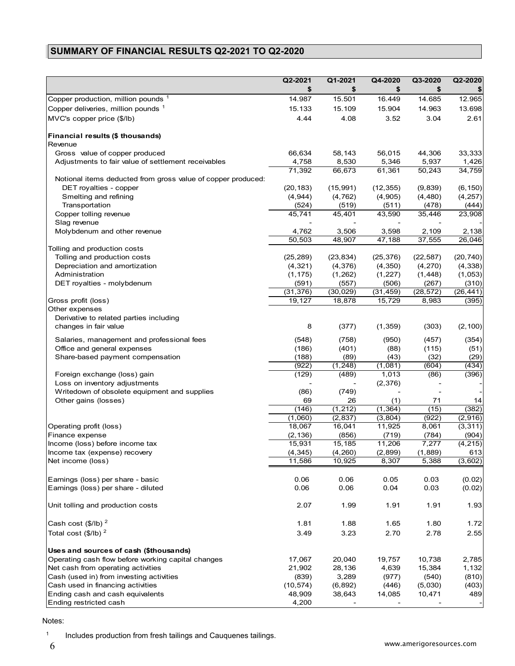# **SUMMARY OF FINANCIAL RESULTS Q2-2021 TO Q2-2020**

|                                                              | Q2-2021   | Q1-2021   | Q4-2020   | Q3-2020   | Q2-2020   |
|--------------------------------------------------------------|-----------|-----------|-----------|-----------|-----------|
|                                                              | \$        | \$        | \$        | \$        |           |
| Copper production, million pounds 1                          | 14.987    | 15.501    | 16.449    | 14.685    | 12.965    |
| Copper deliveries, million pounds 1                          | 15.133    | 15.109    | 15.904    | 14.963    | 13.698    |
| MVC's copper price (\$/lb)                                   | 4.44      | 4.08      | 3.52      | 3.04      | 2.61      |
|                                                              |           |           |           |           |           |
| Financial results (\$ thousands)                             |           |           |           |           |           |
| Revenue                                                      |           |           |           |           |           |
| Gross value of copper produced                               | 66,634    | 58,143    | 56,015    | 44,306    | 33,333    |
| Adjustments to fair value of settlement receivables          | 4,758     | 8,530     | 5,346     | 5,937     | 1,426     |
|                                                              | 71,392    | 66,673    | 61,361    | 50,243    | 34,759    |
| Notional items deducted from gross value of copper produced: |           |           |           |           |           |
| DET royalties - copper                                       | (20, 183) | (15, 991) | (12, 355) | (9,839)   | (6, 150)  |
| Smelting and refining                                        | (4,944)   | (4, 762)  | (4,905)   | (4, 480)  | (4, 257)  |
| Transportation                                               | (524)     | (519)     | (511)     | (478)     | (444)     |
| Copper tolling revenue                                       | 45,741    | 45,401    | 43,590    | 35,446    | 23,908    |
| Slag revenue                                                 |           |           |           |           |           |
| Molybdenum and other revenue                                 | 4,762     | 3,506     | 3,598     | 2,109     | 2,138     |
|                                                              | 50,503    | 48,907    | 47,188    | 37,555    | 26,046    |
| Tolling and production costs                                 |           |           |           |           |           |
| Tolling and production costs                                 | (25, 289) | (23, 834) | (25, 376) | (22, 587) | (20, 740) |
| Depreciation and amortization                                | (4, 321)  | (4,376)   | (4, 350)  | (4,270)   | (4, 338)  |
| Administration                                               | (1, 175)  | (1,262)   | (1, 227)  | (1, 448)  | (1,053)   |
| DET royalties - molybdenum                                   | (591)     | (557)     | (506)     | (267)     | (310)     |
|                                                              | (31, 376) | (30, 029) | (31, 459) | (28, 572) | (26, 441) |
| Gross profit (loss)                                          | 19,127    | 18,878    | 15,729    | 8,983     | (395)     |
| Other expenses                                               |           |           |           |           |           |
| Derivative to related parties including                      |           |           |           |           |           |
| changes in fair value                                        | 8         | (377)     | (1, 359)  | (303)     | (2, 100)  |
| Salaries, management and professional fees                   | (548)     | (758)     | (950)     | (457)     | (354)     |
| Office and general expenses                                  | (186)     | (401)     | (88)      | (115)     | (51)      |
| Share-based payment compensation                             | (188)     | (89)      | (43)      | (32)      | (29)      |
|                                                              | (922)     | (1, 248)  | (1,081)   | (604)     | (434)     |
| Foreign exchange (loss) gain                                 | (129)     | (489)     | 1,013     | (86)      | (396)     |
| Loss on inventory adjustments                                |           |           | (2,376)   |           |           |
| Writedown of obsolete equipment and supplies                 | (86)      | (749)     |           |           |           |
| Other gains (losses)                                         | 69        | 26        | (1)       | 71        | 14        |
|                                                              | (146)     | (1, 212)  | (1, 364)  | (15)      | (382)     |
|                                                              | (1,060)   | (2, 837)  | (3,804)   | (922)     | (2,916)   |
| Operating profit (loss)                                      | 18,067    | 16,041    | 11,925    | 8,061     | (3, 311)  |
| Finance expense                                              | (2, 136)  | (856)     | (719)     | (784)     | (904)     |
| Income (loss) before income tax                              | 15,931    | 15,185    | 11,206    | 7,277     | (4, 215)  |
| Income tax (expense) recovery                                | (4, 345)  | (4, 260)  | (2,899)   | (1,889)   | 613       |
| Net income (loss)                                            | 11,586    | 10,925    | 8,307     | 5,388     | (3,602)   |
|                                                              |           |           |           |           |           |
| Earnings (loss) per share - basic                            | 0.06      | 0.06      | 0.05      | 0.03      | (0.02)    |
| Earnings (loss) per share - diluted                          | 0.06      | 0.06      | 0.04      | 0.03      | (0.02)    |
|                                                              |           |           |           |           |           |
| Unit tolling and production costs                            | 2.07      | 1.99      | 1.91      | 1.91      | 1.93      |
|                                                              |           |           |           |           |           |
| Cash cost $($/lb)^2$                                         | 1.81      | 1.88      | 1.65      | 1.80      | 1.72      |
| Total cost $(\frac{6}{16})^2$                                | 3.49      | 3.23      | 2.70      | 2.78      | 2.55      |
|                                                              |           |           |           |           |           |
| Uses and sources of cash (\$thousands)                       |           |           |           |           |           |
| Operating cash flow before working capital changes           | 17,067    | 20,040    | 19,757    | 10,738    | 2,785     |
| Net cash from operating activities                           | 21,902    | 28,136    | 4,639     | 15,384    | 1,132     |
| Cash (used in) from investing activities                     | (839)     | 3,289     | (977)     | (540)     | (810)     |
| Cash used in financing activities                            | (10, 574) | (6, 892)  | (446)     | (5,030)   | (403)     |
| Ending cash and cash equivalents                             | 48,909    | 38,643    | 14,085    | 10,471    | 489       |
| Ending restricted cash                                       | 4,200     |           |           |           |           |
|                                                              |           |           |           |           |           |

#### Notes:

<sup>1</sup> Includes production from fresh tailings and Cauquenes tailings.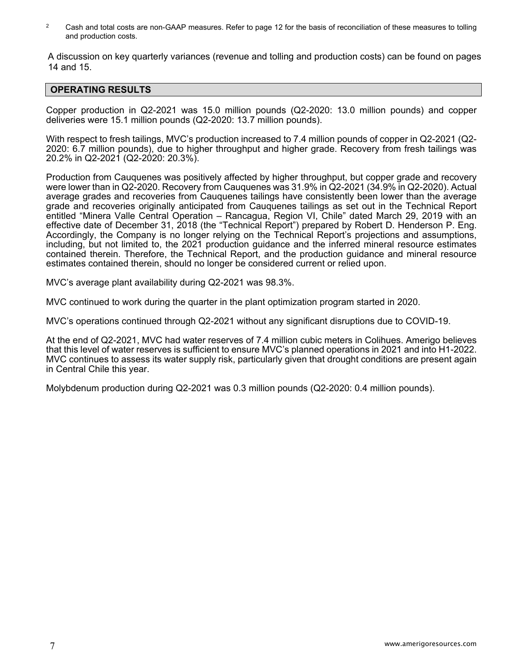<sup>2</sup> Cash and total costs are non-GAAP measures. Refer to page 12 for the basis of reconciliation of these measures to tolling and production costs.

A discussion on key quarterly variances (revenue and tolling and production costs) can be found on pages 14 and 15.

### **OPERATING RESULTS**

Copper production in Q2-2021 was 15.0 million pounds (Q2-2020: 13.0 million pounds) and copper deliveries were 15.1 million pounds (Q2-2020: 13.7 million pounds).

With respect to fresh tailings, MVC's production increased to 7.4 million pounds of copper in Q2-2021 (Q2- 2020: 6.7 million pounds), due to higher throughput and higher grade. Recovery from fresh tailings was 20.2% in Q2-2021 (Q2-2020: 20.3%).

Production from Cauquenes was positively affected by higher throughput, but copper grade and recovery were lower than in Q2-2020. Recovery from Cauquenes was 31.9% in Q2-2021 (34.9% in Q2-2020). Actual average grades and recoveries from Cauquenes tailings have consistently been lower than the average grade and recoveries originally anticipated from Cauquenes tailings as set out in the Technical Report entitled "Minera Valle Central Operation – Rancagua, Region VI, Chile" dated March 29, 2019 with an effective date of December 31, 2018 (the "Technical Report") prepared by Robert D. Henderson P. Eng. Accordingly, the Company is no longer relying on the Technical Report's projections and assumptions, including, but not limited to, the 2021 production guidance and the inferred mineral resource estimates contained therein. Therefore, the Technical Report, and the production guidance and mineral resource estimates contained therein, should no longer be considered current or relied upon.

MVC's average plant availability during Q2-2021 was 98.3%.

MVC continued to work during the quarter in the plant optimization program started in 2020.

MVC's operations continued through Q2-2021 without any significant disruptions due to COVID-19.

At the end of Q2-2021, MVC had water reserves of 7.4 million cubic meters in Colihues. Amerigo believes that this level of water reserves is sufficient to ensure MVC's planned operations in 2021 and into H1-2022. MVC continues to assess its water supply risk, particularly given that drought conditions are present again in Central Chile this year.

Molybdenum production during Q2-2021 was 0.3 million pounds (Q2-2020: 0.4 million pounds).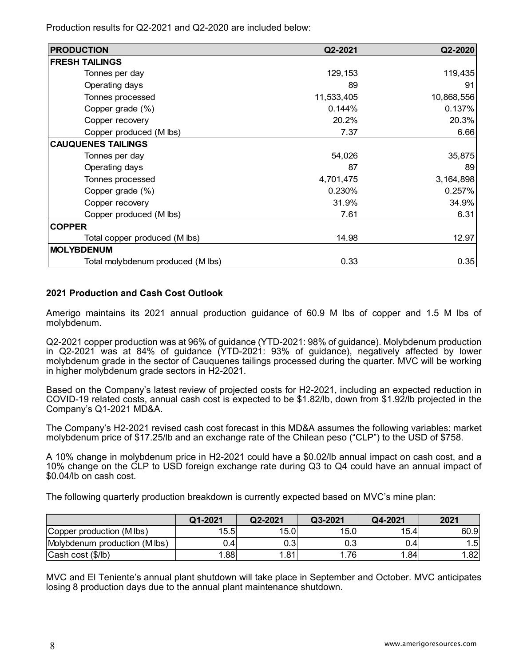Production results for Q2-2021 and Q2-2020 are included below:

| <b>PRODUCTION</b>                 | Q2-2021    | Q2-2020    |
|-----------------------------------|------------|------------|
| <b>FRESH TAILINGS</b>             |            |            |
| Tonnes per day                    | 129,153    | 119,435    |
| Operating days                    | 89         | 91         |
| Tonnes processed                  | 11,533,405 | 10,868,556 |
| Copper grade (%)                  | 0.144%     | 0.137%     |
| Copper recovery                   | 20.2%      | 20.3%      |
| Copper produced (M lbs)           | 7.37       | 6.66       |
| <b>CAUQUENES TAILINGS</b>         |            |            |
| Tonnes per day                    | 54,026     | 35,875     |
| Operating days                    | 87         | 89         |
| Tonnes processed                  | 4,701,475  | 3,164,898  |
| Copper grade (%)                  | 0.230%     | 0.257%     |
| Copper recovery                   | 31.9%      | 34.9%      |
| Copper produced (M lbs)           | 7.61       | 6.31       |
| <b>COPPER</b>                     |            |            |
| Total copper produced (M lbs)     | 14.98      | 12.97      |
| <b>MOLYBDENUM</b>                 |            |            |
| Total molybdenum produced (M lbs) | 0.33       | 0.35       |

# **2021 Production and Cash Cost Outlook**

Amerigo maintains its 2021 annual production guidance of 60.9 M lbs of copper and 1.5 M lbs of molybdenum.

Q2-2021 copper production was at 96% of guidance (YTD-2021: 98% of guidance). Molybdenum production in Q2-2021 was at 84% of guidance (YTD-2021: 93% of guidance), negatively affected by lower molybdenum grade in the sector of Cauquenes tailings processed during the quarter. MVC will be working in higher molybdenum grade sectors in H2-2021.

Based on the Company's latest review of projected costs for H2-2021, including an expected reduction in COVID-19 related costs, annual cash cost is expected to be \$1.82/lb, down from \$1.92/lb projected in the Company's Q1-2021 MD&A.

The Company's H2-2021 revised cash cost forecast in this MD&A assumes the following variables: market molybdenum price of \$17.25/lb and an exchange rate of the Chilean peso ("CLP") to the USD of \$758.

A 10% change in molybdenum price in H2-2021 could have a \$0.02/lb annual impact on cash cost, and a 10% change on the CLP to USD foreign exchange rate during Q3 to Q4 could have an annual impact of \$0.04/lb on cash cost.

The following quarterly production breakdown is currently expected based on MVC's mine plan:

|                               | Q1-2021          | Q2-2021 | Q3-2021 | Q4-2021          | 2021   |
|-------------------------------|------------------|---------|---------|------------------|--------|
| Copper production (M lbs)     | 15.5             | 15.0    | 15.0    | 15.4             | 60.9   |
| Molybdenum production (M lbs) | J.4'             | 0.3     | 0.31    | 0.4 <sub>1</sub> | $.5\,$ |
| Cash cost (\$/lb)             | .88 <sub>1</sub> | 1.81    | 761     | 1.84             | 82'    |

MVC and El Teniente's annual plant shutdown will take place in September and October. MVC anticipates losing 8 production days due to the annual plant maintenance shutdown.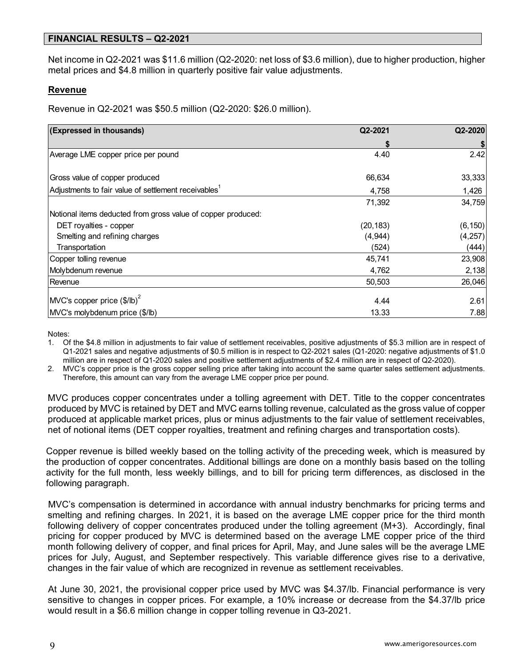# **FINANCIAL RESULTS – Q2-2021**

Net income in Q2-2021 was \$11.6 million (Q2-2020: net loss of \$3.6 million), due to higher production, higher metal prices and \$4.8 million in quarterly positive fair value adjustments.

### **Revenue**

Revenue in Q2-2021 was \$50.5 million (Q2-2020: \$26.0 million).

| (Expressed in thousands)                                         | Q2-2021   | Q2-2020  |
|------------------------------------------------------------------|-----------|----------|
|                                                                  |           |          |
| Average LME copper price per pound                               | 4.40      | 2.42     |
|                                                                  |           |          |
| Gross value of copper produced                                   | 66,634    | 33,333   |
| Adjustments to fair value of settlement receivables <sup>1</sup> | 4,758     | 1,426    |
|                                                                  | 71,392    | 34,759   |
| Notional items deducted from gross value of copper produced:     |           |          |
| DET royalties - copper                                           | (20, 183) | (6, 150) |
| Smelting and refining charges                                    | (4,944)   | (4, 257) |
| Transportation                                                   | (524)     | (444)    |
| Copper tolling revenue                                           | 45,741    | 23,908   |
| Molybdenum revenue                                               | 4,762     | 2,138    |
| Revenue                                                          | 50,503    | 26,046   |
| $\left $ MVC's copper price $\left(\frac{6}{10}\right)^2$        | 4.44      | 2.61     |
| MVC's molybdenum price (\$/lb)                                   | 13.33     | 7.88     |

Notes:

1. Of the \$4.8 million in adjustments to fair value of settlement receivables, positive adjustments of \$5.3 million are in respect of Q1-2021 sales and negative adjustments of \$0.5 million is in respect to Q2-2021 sales (Q1-2020: negative adjustments of \$1.0 million are in respect of Q1-2020 sales and positive settlement adjustments of \$2.4 million are in respect of Q2-2020).

2. MVC's copper price is the gross copper selling price after taking into account the same quarter sales settlement adjustments. Therefore, this amount can vary from the average LME copper price per pound.

MVC produces copper concentrates under a tolling agreement with DET. Title to the copper concentrates produced by MVC is retained by DET and MVC earns tolling revenue, calculated as the gross value of copper produced at applicable market prices, plus or minus adjustments to the fair value of settlement receivables, net of notional items (DET copper royalties, treatment and refining charges and transportation costs).

Copper revenue is billed weekly based on the tolling activity of the preceding week, which is measured by the production of copper concentrates. Additional billings are done on a monthly basis based on the tolling activity for the full month, less weekly billings, and to bill for pricing term differences, as disclosed in the following paragraph.

MVC's compensation is determined in accordance with annual industry benchmarks for pricing terms and smelting and refining charges. In 2021, it is based on the average LME copper price for the third month following delivery of copper concentrates produced under the tolling agreement (M+3). Accordingly, final pricing for copper produced by MVC is determined based on the average LME copper price of the third month following delivery of copper, and final prices for April, May, and June sales will be the average LME prices for July, August, and September respectively. This variable difference gives rise to a derivative, changes in the fair value of which are recognized in revenue as settlement receivables.

At June 30, 2021, the provisional copper price used by MVC was \$4.37/lb. Financial performance is very sensitive to changes in copper prices. For example, a 10% increase or decrease from the \$4.37/lb price would result in a \$6.6 million change in copper tolling revenue in Q3-2021.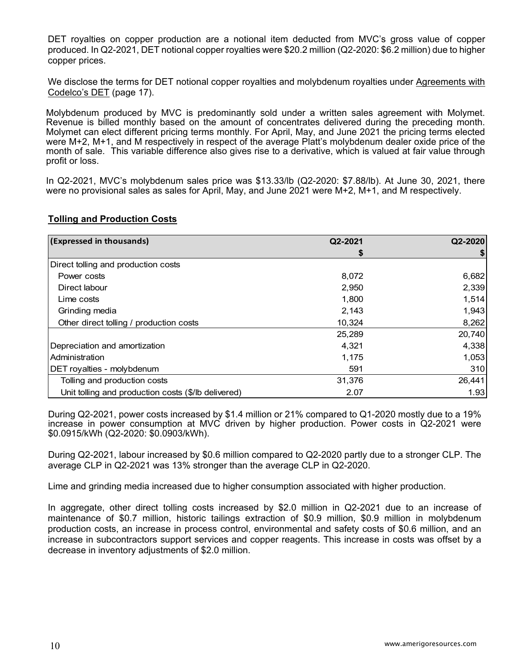DET royalties on copper production are a notional item deducted from MVC's gross value of copper produced. In Q2-2021, DET notional copper royalties were \$20.2 million (Q2-2020: \$6.2 million) due to higher copper prices.

We disclose the terms for DET notional copper royalties and molybdenum royalties under Agreements with Codelco's DET (page 17).

Molybdenum produced by MVC is predominantly sold under a written sales agreement with Molymet. Revenue is billed monthly based on the amount of concentrates delivered during the preceding month. Molymet can elect different pricing terms monthly. For April, May, and June 2021 the pricing terms elected were M+2, M+1, and M respectively in respect of the average Platt's molybdenum dealer oxide price of the month of sale. This variable difference also gives rise to a derivative, which is valued at fair value through profit or loss.

In Q2-2021, MVC's molybdenum sales price was \$13.33/lb (Q2-2020: \$7.88/lb). At June 30, 2021, there were no provisional sales as sales for April, May, and June 2021 were M+2, M+1, and M respectively.

# **Tolling and Production Costs**

| (Expressed in thousands)                            | Q2-2021 | Q2-2020 |
|-----------------------------------------------------|---------|---------|
|                                                     |         |         |
| Direct tolling and production costs                 |         |         |
| Power costs                                         | 8,072   | 6,682   |
| Direct labour                                       | 2,950   | 2,339   |
| Lime costs                                          | 1.800   | 1,514   |
| Grinding media                                      | 2,143   | 1,943   |
| Other direct tolling / production costs             | 10,324  | 8,262   |
|                                                     | 25,289  | 20,740  |
| Depreciation and amortization                       | 4.321   | 4,338   |
| Administration                                      | 1,175   | 1,053   |
| DET royalties - molybdenum                          | 591     | 310     |
| Tolling and production costs                        | 31,376  | 26,441  |
| Unit tolling and production costs (\$/lb delivered) | 2.07    | 1.93    |

During Q2-2021, power costs increased by \$1.4 million or 21% compared to Q1-2020 mostly due to a 19% increase in power consumption at MVC driven by higher production. Power costs in Q2-2021 were \$0.0915/kWh (Q2-2020: \$0.0903/kWh).

During Q2-2021, labour increased by \$0.6 million compared to Q2-2020 partly due to a stronger CLP. The average CLP in Q2-2021 was 13% stronger than the average CLP in Q2-2020.

Lime and grinding media increased due to higher consumption associated with higher production.

In aggregate, other direct tolling costs increased by \$2.0 million in Q2-2021 due to an increase of maintenance of \$0.7 million, historic tailings extraction of \$0.9 million, \$0.9 million in molybdenum production costs, an increase in process control, environmental and safety costs of \$0.6 million, and an increase in subcontractors support services and copper reagents. This increase in costs was offset by a decrease in inventory adjustments of \$2.0 million.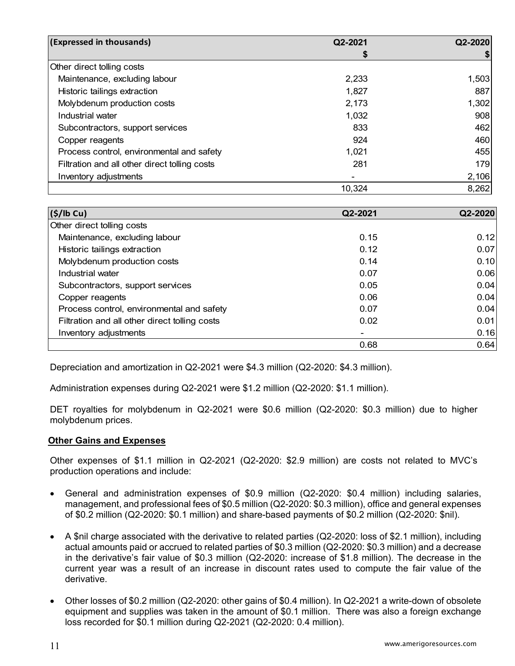| (Expressed in thousands)                      | Q2-2021 | Q2-2020 |
|-----------------------------------------------|---------|---------|
|                                               |         |         |
| Other direct tolling costs                    |         |         |
| Maintenance, excluding labour                 | 2,233   | 1,503   |
| Historic tailings extraction                  | 1,827   | 887     |
| Molybdenum production costs                   | 2,173   | 1,302   |
| Industrial water                              | 1,032   | 908     |
| Subcontractors, support services              | 833     | 462     |
| Copper reagents                               | 924     | 460     |
| Process control, environmental and safety     | 1,021   | 455     |
| Filtration and all other direct tolling costs | 281     | 179     |
| Inventory adjustments                         |         | 2,106   |
|                                               | 10,324  | 8,262   |

| (\$/lb Cu)                                    | Q2-2021 | Q2-2020 |
|-----------------------------------------------|---------|---------|
| Other direct tolling costs                    |         |         |
| Maintenance, excluding labour                 | 0.15    | 0.12    |
| Historic tailings extraction                  | 0.12    | 0.07    |
| Molybdenum production costs                   | 0.14    | 0.10    |
| Industrial water                              | 0.07    | 0.06    |
| Subcontractors, support services              | 0.05    | 0.04    |
| Copper reagents                               | 0.06    | 0.04    |
| Process control, environmental and safety     | 0.07    | 0.04    |
| Filtration and all other direct tolling costs | 0.02    | 0.01    |
| Inventory adjustments                         | $\,$    | 0.16    |
|                                               | 0.68    | 0.64    |

Depreciation and amortization in Q2-2021 were \$4.3 million (Q2-2020: \$4.3 million).

Administration expenses during Q2-2021 were \$1.2 million (Q2-2020: \$1.1 million).

DET royalties for molybdenum in Q2-2021 were \$0.6 million (Q2-2020: \$0.3 million) due to higher molybdenum prices.

### **Other Gains and Expenses**

Other expenses of \$1.1 million in Q2-2021 (Q2-2020: \$2.9 million) are costs not related to MVC's production operations and include:

- General and administration expenses of \$0.9 million (Q2-2020: \$0.4 million) including salaries, management, and professional fees of \$0.5 million (Q2-2020: \$0.3 million), office and general expenses of \$0.2 million (Q2-2020: \$0.1 million) and share-based payments of \$0.2 million (Q2-2020: \$nil).
- A \$nil charge associated with the derivative to related parties (Q2-2020: loss of \$2.1 million), including actual amounts paid or accrued to related parties of \$0.3 million (Q2-2020: \$0.3 million) and a decrease in the derivative's fair value of \$0.3 million (Q2-2020: increase of \$1.8 million). The decrease in the current year was a result of an increase in discount rates used to compute the fair value of the derivative.
- Other losses of \$0.2 million (Q2-2020: other gains of \$0.4 million). In Q2-2021 a write-down of obsolete equipment and supplies was taken in the amount of \$0.1 million. There was also a foreign exchange loss recorded for \$0.1 million during Q2-2021 (Q2-2020: 0.4 million).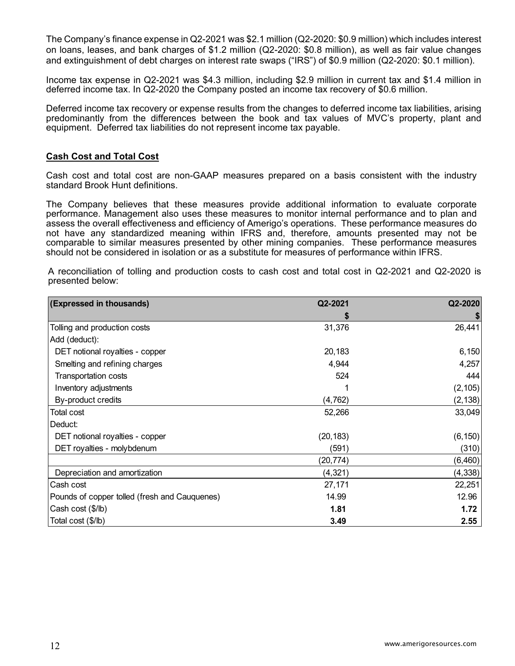The Company's finance expense in Q2-2021 was \$2.1 million (Q2-2020: \$0.9 million) which includes interest on loans, leases, and bank charges of \$1.2 million (Q2-2020: \$0.8 million), as well as fair value changes and extinguishment of debt charges on interest rate swaps ("IRS") of \$0.9 million (Q2-2020: \$0.1 million).

Income tax expense in Q2-2021 was \$4.3 million, including \$2.9 million in current tax and \$1.4 million in deferred income tax. In Q2-2020 the Company posted an income tax recovery of \$0.6 million.

Deferred income tax recovery or expense results from the changes to deferred income tax liabilities, arising predominantly from the differences between the book and tax values of MVC's property, plant and equipment. Deferred tax liabilities do not represent income tax payable.

### **Cash Cost and Total Cost**

Cash cost and total cost are non-GAAP measures prepared on a basis consistent with the industry standard Brook Hunt definitions.

The Company believes that these measures provide additional information to evaluate corporate performance. Management also uses these measures to monitor internal performance and to plan and assess the overall effectiveness and efficiency of Amerigo's operations. These performance measures do not have any standardized meaning within IFRS and, therefore, amounts presented may not be comparable to similar measures presented by other mining companies. These performance measures should not be considered in isolation or as a substitute for measures of performance within IFRS.

A reconciliation of tolling and production costs to cash cost and total cost in Q2-2021 and Q2-2020 is presented below:

| (Expressed in thousands)                      | Q2-2021   | Q2-2020  |
|-----------------------------------------------|-----------|----------|
|                                               |           |          |
| Tolling and production costs                  | 31,376    | 26,441   |
| Add (deduct):                                 |           |          |
| DET notional royalties - copper               | 20,183    | 6,150    |
| Smelting and refining charges                 | 4,944     | 4,257    |
| <b>Transportation costs</b>                   | 524       | 444      |
| Inventory adjustments                         |           | (2, 105) |
| By-product credits                            | (4, 762)  | (2, 138) |
| Total cost                                    | 52,266    | 33,049   |
| Deduct:                                       |           |          |
| DET notional royalties - copper               | (20, 183) | (6, 150) |
| DET royalties - molybdenum                    | (591)     | (310)    |
|                                               | (20, 774) | (6, 460) |
| Depreciation and amortization                 | (4, 321)  | (4, 338) |
| Cash cost                                     | 27,171    | 22,251   |
| Pounds of copper tolled (fresh and Cauquenes) | 14.99     | 12.96    |
| Cash cost (\$/lb)                             | 1.81      | 1.72     |
| Total cost (\$/lb)                            | 3.49      | 2.55     |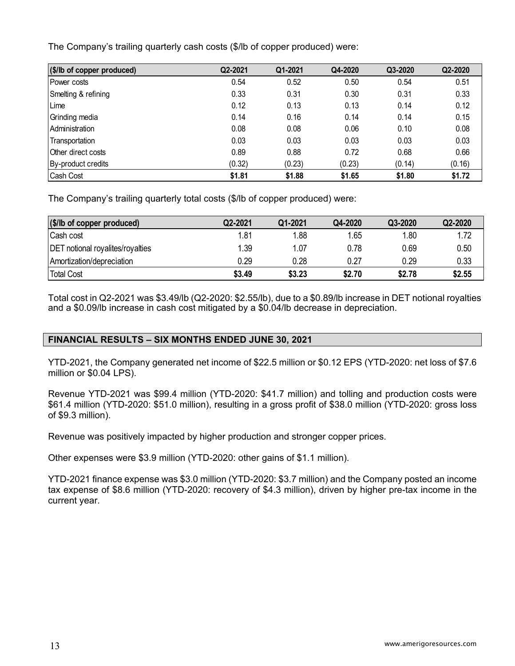The Company's trailing quarterly cash costs (\$/lb of copper produced) were:

| (\$/lb of copper produced) | Q2-2021 | Q1-2021 | Q4-2020 | Q3-2020 | Q2-2020 |
|----------------------------|---------|---------|---------|---------|---------|
| <b>Power costs</b>         | 0.54    | 0.52    | 0.50    | 0.54    | 0.51    |
| Smelting & refining        | 0.33    | 0.31    | 0.30    | 0.31    | 0.33    |
| Lime                       | 0.12    | 0.13    | 0.13    | 0.14    | 0.12    |
| Grinding media             | 0.14    | 0.16    | 0.14    | 0.14    | 0.15    |
| Administration             | 0.08    | 0.08    | 0.06    | 0.10    | 0.08    |
| Transportation             | 0.03    | 0.03    | 0.03    | 0.03    | 0.03    |
| Other direct costs         | 0.89    | 0.88    | 0.72    | 0.68    | 0.66    |
| By-product credits         | (0.32)  | (0.23)  | (0.23)  | (0.14)  | (0.16)  |
| Cash Cost                  | \$1.81  | \$1.88  | \$1.65  | \$1.80  | \$1.72  |

The Company's trailing quarterly total costs (\$/lb of copper produced) were:

| (\$/lb of copper produced)              | Q2-2021 | Q1-2021 | Q4-2020 | Q3-2020 | Q2-2020 |
|-----------------------------------------|---------|---------|---------|---------|---------|
| Cash cost                               | 1.81    | 1.88    | 1.65    | 1.80    | 1.72    |
| <b>DET</b> notional royalites/royalties | 1.39    | 1.07    | 0.78    | 0.69    | 0.50    |
| Amortization/depreciation               | 0.29    | 0.28    | 0.27    | 0.29    | 0.33    |
| <b>Total Cost</b>                       | \$3.49  | \$3.23  | \$2.70  | \$2.78  | \$2.55  |

Total cost in Q2-2021 was \$3.49/lb (Q2-2020: \$2.55/lb), due to a \$0.89/lb increase in DET notional royalties and a \$0.09/lb increase in cash cost mitigated by a \$0.04/lb decrease in depreciation.

# **FINANCIAL RESULTS – SIX MONTHS ENDED JUNE 30, 2021**

YTD-2021, the Company generated net income of \$22.5 million or \$0.12 EPS (YTD-2020: net loss of \$7.6 million or \$0.04 LPS).

Revenue YTD-2021 was \$99.4 million (YTD-2020: \$41.7 million) and tolling and production costs were \$61.4 million (YTD-2020: \$51.0 million), resulting in a gross profit of \$38.0 million (YTD-2020: gross loss of \$9.3 million).

Revenue was positively impacted by higher production and stronger copper prices.

Other expenses were \$3.9 million (YTD-2020: other gains of \$1.1 million).

YTD-2021 finance expense was \$3.0 million (YTD-2020: \$3.7 million) and the Company posted an income tax expense of \$8.6 million (YTD-2020: recovery of \$4.3 million), driven by higher pre-tax income in the current year.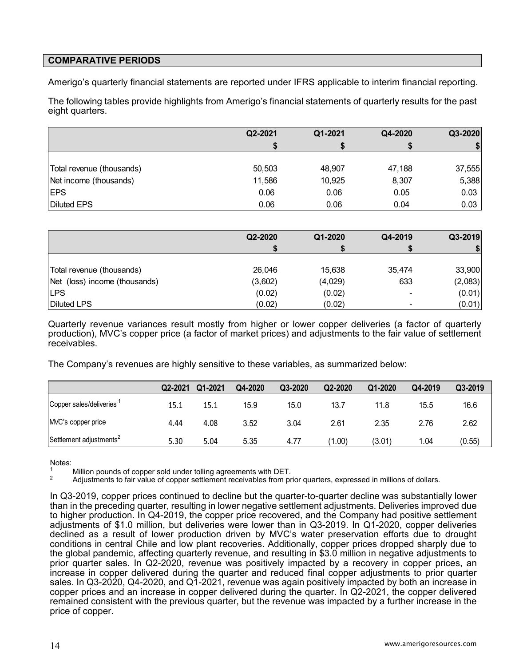# **COMPARATIVE PERIODS**

Amerigo's quarterly financial statements are reported under IFRS applicable to interim financial reporting.

The following tables provide highlights from Amerigo's financial statements of quarterly results for the past eight quarters.

|                           | Q2-2021 | Q1-2021 | Q4-2020 | Q3-2020 |
|---------------------------|---------|---------|---------|---------|
|                           |         |         |         | \$      |
|                           |         |         |         |         |
| Total revenue (thousands) | 50,503  | 48,907  | 47,188  | 37,555  |
| Net income (thousands)    | 11,586  | 10,925  | 8,307   | 5,388   |
| <b>IEPS</b>               | 0.06    | 0.06    | 0.05    | 0.03    |
| <b>Diluted EPS</b>        | 0.06    | 0.06    | 0.04    | 0.03    |

|                               | Q2-2020 | Q1-2020 | Q4-2019                  | Q3-2019 |
|-------------------------------|---------|---------|--------------------------|---------|
|                               |         |         |                          |         |
|                               |         |         |                          |         |
| Total revenue (thousands)     | 26,046  | 15,638  | 35,474                   | 33,900  |
| Net (loss) income (thousands) | (3,602) | (4,029) | 633                      | (2,083) |
| <b>LPS</b>                    | (0.02)  | (0.02)  | $\overline{\phantom{a}}$ | (0.01)  |
| <b>Diluted LPS</b>            | (0.02)  | (0.02)  | ۰                        | (0.01)  |

Quarterly revenue variances result mostly from higher or lower copper deliveries (a factor of quarterly production), MVC's copper price (a factor of market prices) and adjustments to the fair value of settlement receivables.

The Company's revenues are highly sensitive to these variables, as summarized below:

|                                     | Q2-2021 | Q1-2021 | Q4-2020 | Q3-2020 | Q2-2020          | Q1-2020 | Q4-2019 | Q3-2019 |
|-------------------------------------|---------|---------|---------|---------|------------------|---------|---------|---------|
| Copper sales/deliveries             | 15.1    | 15.1    | 15.9    | 15.0    | 13.7             | 11.8    | 15.5    | 16.6    |
| MVC's copper price                  | 4.44    | 4.08    | 3.52    | 3.04    | 2.61             | 2.35    | 2.76    | 2.62    |
| Settlement adjustments <sup>2</sup> | 5.30    | 5.04    | 5.35    | 4.77    | .00 <sub>1</sub> | (3.01)  | 1.04    | (0.55)  |

Notes:<br><sup>1</sup> Million pounds of copper sold under tolling agreements with DET.

<sup>2</sup> Adjustments to fair value of copper settlement receivables from prior quarters, expressed in millions of dollars.

In Q3-2019, copper prices continued to decline but the quarter-to-quarter decline was substantially lower than in the preceding quarter, resulting in lower negative settlement adjustments. Deliveries improved due to higher production. In Q4-2019, the copper price recovered, and the Company had positive settlement adjustments of \$1.0 million, but deliveries were lower than in Q3-2019. In Q1-2020, copper deliveries declined as a result of lower production driven by MVC's water preservation efforts due to drought conditions in central Chile and low plant recoveries. Additionally, copper prices dropped sharply due to the global pandemic, affecting quarterly revenue, and resulting in \$3.0 million in negative adjustments to prior quarter sales. In Q2-2020, revenue was positively impacted by a recovery in copper prices, an increase in copper delivered during the quarter and reduced final copper adjustments to prior quarter sales. In Q3-2020, Q4-2020, and Q1-2021, revenue was again positively impacted by both an increase in copper prices and an increase in copper delivered during the quarter. In Q2-2021, the copper delivered remained consistent with the previous quarter, but the revenue was impacted by a further increase in the price of copper.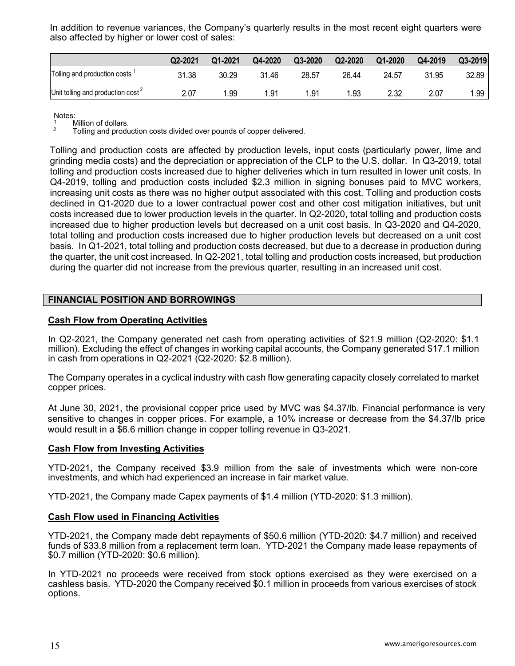In addition to revenue variances, the Company's quarterly results in the most recent eight quarters were also affected by higher or lower cost of sales:

|                                               | Q2-2021 | Q1-2021 | Q4-2020 | Q3-2020 | Q2-2020 | Q1-2020 | Q4-2019 | Q3-2019 |
|-----------------------------------------------|---------|---------|---------|---------|---------|---------|---------|---------|
| Tolling and production costs                  | 31.38   | 30.29   | 31.46   | 28.57   | 26.44   | 24.57   | 31.95   | 32.89   |
| Unit tolling and production cost <sup>2</sup> | 2.07    | .99     | 1.91    | l.91    | 1.93    | 2.32    | 2.07    | .99     |

Notes:

 $\frac{1}{2}$  Million of dollars.

2 Tolling and production costs divided over pounds of copper delivered.

Tolling and production costs are affected by production levels, input costs (particularly power, lime and grinding media costs) and the depreciation or appreciation of the CLP to the U.S. dollar. In Q3-2019, total tolling and production costs increased due to higher deliveries which in turn resulted in lower unit costs. In Q4-2019, tolling and production costs included \$2.3 million in signing bonuses paid to MVC workers, increasing unit costs as there was no higher output associated with this cost. Tolling and production costs declined in Q1-2020 due to a lower contractual power cost and other cost mitigation initiatives, but unit costs increased due to lower production levels in the quarter. In Q2-2020, total tolling and production costs increased due to higher production levels but decreased on a unit cost basis. In Q3-2020 and Q4-2020, total tolling and production costs increased due to higher production levels but decreased on a unit cost basis. In Q1-2021, total tolling and production costs decreased, but due to a decrease in production during the quarter, the unit cost increased. In Q2-2021, total tolling and production costs increased, but production during the quarter did not increase from the previous quarter, resulting in an increased unit cost.

### **FINANCIAL POSITION AND BORROWINGS**

### **Cash Flow from Operating Activities**

In Q2-2021, the Company generated net cash from operating activities of \$21.9 million (Q2-2020: \$1.1 million). Excluding the effect of changes in working capital accounts, the Company generated \$17.1 million in cash from operations in Q2-2021 (Q2-2020: \$2.8 million).

The Company operates in a cyclical industry with cash flow generating capacity closely correlated to market copper prices.

At June 30, 2021, the provisional copper price used by MVC was \$4.37/lb. Financial performance is very sensitive to changes in copper prices. For example, a 10% increase or decrease from the \$4.37/lb price would result in a \$6.6 million change in copper tolling revenue in Q3-2021.

### **Cash Flow from Investing Activities**

YTD-2021, the Company received \$3.9 million from the sale of investments which were non-core investments, and which had experienced an increase in fair market value.

YTD-2021, the Company made Capex payments of \$1.4 million (YTD-2020: \$1.3 million).

### **Cash Flow used in Financing Activities**

YTD-2021, the Company made debt repayments of \$50.6 million (YTD-2020: \$4.7 million) and received funds of \$33.8 million from a replacement term loan. YTD-2021 the Company made lease repayments of \$0.7 million (YTD-2020: \$0.6 million).

In YTD-2021 no proceeds were received from stock options exercised as they were exercised on a cashless basis. YTD-2020 the Company received \$0.1 million in proceeds from various exercises of stock options.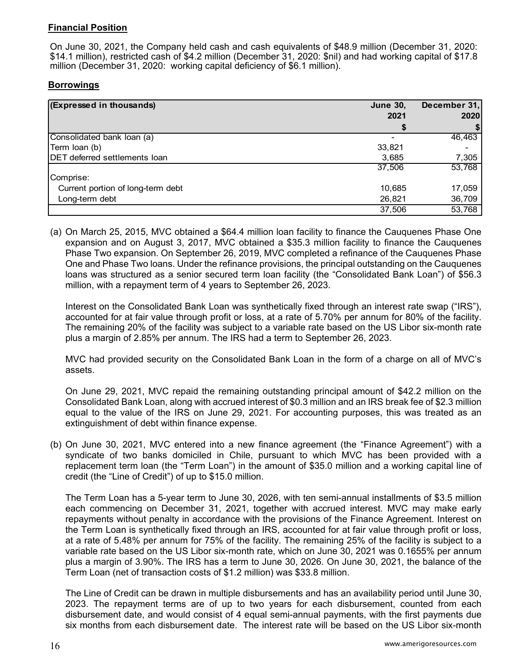# **Financial Position**

On June 30, 2021, the Company held cash and cash equivalents of \$48.9 million (December 31, 2020: \$14.1 million), restricted cash of \$4.2 million (December 31, 2020: \$nil) and had working capital of \$17.8 million (December 31, 2020: working capital deficiency of \$6.1 million).

### **Borrowings**

| (Expressed in thousands)             | <b>June 30,</b> | December 31, |
|--------------------------------------|-----------------|--------------|
|                                      | 2021            | 2020         |
|                                      |                 |              |
| Consolidated bank loan (a)           |                 | 46,463       |
| Term Ioan (b)                        | 33,821          |              |
| <b>DET</b> deferred settlements loan | 3,685           | 7,305        |
|                                      | 37,506          | 53,768       |
| Comprise:                            |                 |              |
| Current portion of long-term debt    | 10,685          | 17,059       |
| Long-term debt                       | 26,821          | 36,709       |
|                                      | 37,506          | 53,768       |

(a) On March 25, 2015, MVC obtained a \$64.4 million loan facility to finance the Cauquenes Phase One expansion and on August 3, 2017, MVC obtained a \$35.3 million facility to finance the Cauquenes Phase Two expansion. On September 26, 2019, MVC completed a refinance of the Cauquenes Phase One and Phase Two loans. Under the refinance provisions, the principal outstanding on the Cauquenes loans was structured as a senior secured term loan facility (the "Consolidated Bank Loan") of \$56.3 million, with a repayment term of 4 years to September 26, 2023.

Interest on the Consolidated Bank Loan was synthetically fixed through an interest rate swap ("IRS"), accounted for at fair value through profit or loss, at a rate of 5.70% per annum for 80% of the facility. The remaining 20% of the facility was subject to a variable rate based on the US Libor six-month rate plus a margin of 2.85% per annum. The IRS had a term to September 26, 2023.

MVC had provided security on the Consolidated Bank Loan in the form of a charge on all of MVC's assets.

On June 29, 2021, MVC repaid the remaining outstanding principal amount of \$42.2 million on the Consolidated Bank Loan, along with accrued interest of \$0.3 million and an IRS break fee of \$2.3 million equal to the value of the IRS on June 29, 2021. For accounting purposes, this was treated as an extinguishment of debt within finance expense.

(b) On June 30, 2021, MVC entered into a new finance agreement (the "Finance Agreement") with a syndicate of two banks domiciled in Chile, pursuant to which MVC has been provided with a replacement term loan (the "Term Loan") in the amount of \$35.0 million and a working capital line of credit (the "Line of Credit") of up to \$15.0 million.

The Term Loan has a 5-year term to June 30, 2026, with ten semi-annual installments of \$3.5 million each commencing on December 31, 2021, together with accrued interest. MVC may make early repayments without penalty in accordance with the provisions of the Finance Agreement. Interest on the Term Loan is synthetically fixed through an IRS, accounted for at fair value through profit or loss, at a rate of 5.48% per annum for 75% of the facility. The remaining 25% of the facility is subject to a variable rate based on the US Libor six-month rate, which on June 30, 2021 was 0.1655% per annum plus a margin of 3.90%. The IRS has a term to June 30, 2026. On June 30, 2021, the balance of the Term Loan (net of transaction costs of \$1.2 million) was \$33.8 million.

The Line of Credit can be drawn in multiple disbursements and has an availability period until June 30, 2023. The repayment terms are of up to two years for each disbursement, counted from each disbursement date, and would consist of 4 equal semi-annual payments, with the first payments due six months from each disbursement date. The interest rate will be based on the US Libor six-month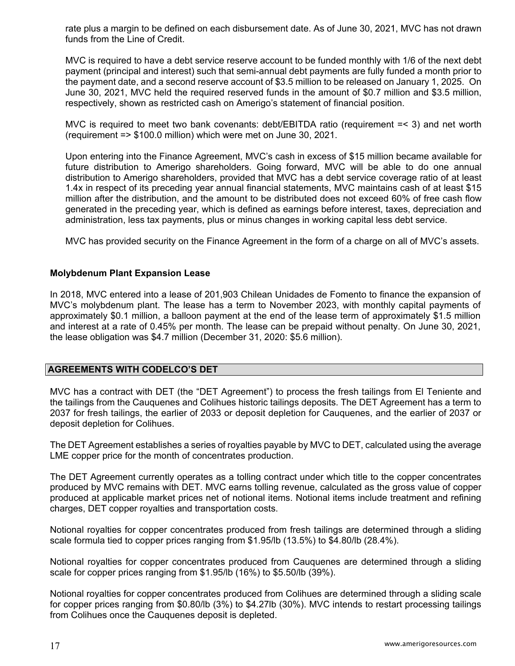rate plus a margin to be defined on each disbursement date. As of June 30, 2021, MVC has not drawn funds from the Line of Credit.

MVC is required to have a debt service reserve account to be funded monthly with 1/6 of the next debt payment (principal and interest) such that semi-annual debt payments are fully funded a month prior to the payment date, and a second reserve account of \$3.5 million to be released on January 1, 2025. On June 30, 2021, MVC held the required reserved funds in the amount of \$0.7 million and \$3.5 million, respectively, shown as restricted cash on Amerigo's statement of financial position.

MVC is required to meet two bank covenants: debt/EBITDA ratio (requirement =< 3) and net worth (requirement => \$100.0 million) which were met on June 30, 2021.

Upon entering into the Finance Agreement, MVC's cash in excess of \$15 million became available for future distribution to Amerigo shareholders. Going forward, MVC will be able to do one annual distribution to Amerigo shareholders, provided that MVC has a debt service coverage ratio of at least 1.4x in respect of its preceding year annual financial statements, MVC maintains cash of at least \$15 million after the distribution, and the amount to be distributed does not exceed 60% of free cash flow generated in the preceding year, which is defined as earnings before interest, taxes, depreciation and administration, less tax payments, plus or minus changes in working capital less debt service.

MVC has provided security on the Finance Agreement in the form of a charge on all of MVC's assets.

# **Molybdenum Plant Expansion Lease**

In 2018, MVC entered into a lease of 201,903 Chilean Unidades de Fomento to finance the expansion of MVC's molybdenum plant. The lease has a term to November 2023, with monthly capital payments of approximately \$0.1 million, a balloon payment at the end of the lease term of approximately \$1.5 million and interest at a rate of 0.45% per month. The lease can be prepaid without penalty. On June 30, 2021, the lease obligation was \$4.7 million (December 31, 2020: \$5.6 million).

### **AGREEMENTS WITH CODELCO'S DET**

MVC has a contract with DET (the "DET Agreement") to process the fresh tailings from El Teniente and the tailings from the Cauquenes and Colihues historic tailings deposits. The DET Agreement has a term to 2037 for fresh tailings, the earlier of 2033 or deposit depletion for Cauquenes, and the earlier of 2037 or deposit depletion for Colihues.

The DET Agreement establishes a series of royalties payable by MVC to DET, calculated using the average LME copper price for the month of concentrates production.

The DET Agreement currently operates as a tolling contract under which title to the copper concentrates produced by MVC remains with DET. MVC earns tolling revenue, calculated as the gross value of copper produced at applicable market prices net of notional items. Notional items include treatment and refining charges, DET copper royalties and transportation costs.

Notional royalties for copper concentrates produced from fresh tailings are determined through a sliding scale formula tied to copper prices ranging from \$1.95/lb (13.5%) to \$4.80/lb (28.4%).

Notional royalties for copper concentrates produced from Cauquenes are determined through a sliding scale for copper prices ranging from \$1.95/lb (16%) to \$5.50/lb (39%).

Notional royalties for copper concentrates produced from Colihues are determined through a sliding scale for copper prices ranging from \$0.80/lb (3%) to \$4.27lb (30%). MVC intends to restart processing tailings from Colihues once the Cauquenes deposit is depleted.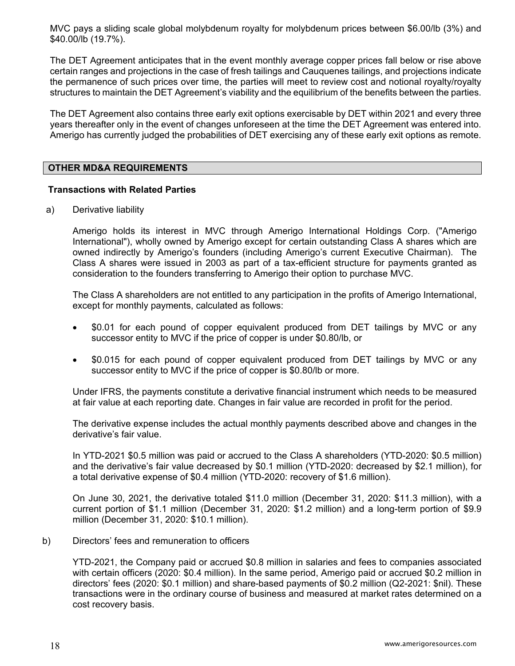MVC pays a sliding scale global molybdenum royalty for molybdenum prices between \$6.00/lb (3%) and \$40.00/lb (19.7%).

The DET Agreement anticipates that in the event monthly average copper prices fall below or rise above certain ranges and projections in the case of fresh tailings and Cauquenes tailings, and projections indicate the permanence of such prices over time, the parties will meet to review cost and notional royalty/royalty structures to maintain the DET Agreement's viability and the equilibrium of the benefits between the parties.

The DET Agreement also contains three early exit options exercisable by DET within 2021 and every three years thereafter only in the event of changes unforeseen at the time the DET Agreement was entered into. Amerigo has currently judged the probabilities of DET exercising any of these early exit options as remote.

### **OTHER MD&A REQUIREMENTS**

# **Transactions with Related Parties**

a) Derivative liability

Amerigo holds its interest in MVC through Amerigo International Holdings Corp. ("Amerigo International"), wholly owned by Amerigo except for certain outstanding Class A shares which are owned indirectly by Amerigo's founders (including Amerigo's current Executive Chairman). The Class A shares were issued in 2003 as part of a tax-efficient structure for payments granted as consideration to the founders transferring to Amerigo their option to purchase MVC.

The Class A shareholders are not entitled to any participation in the profits of Amerigo International, except for monthly payments, calculated as follows:

- \$0.01 for each pound of copper equivalent produced from DET tailings by MVC or any successor entity to MVC if the price of copper is under \$0.80/lb, or
- \$0.015 for each pound of copper equivalent produced from DET tailings by MVC or any successor entity to MVC if the price of copper is \$0.80/lb or more.

Under IFRS, the payments constitute a derivative financial instrument which needs to be measured at fair value at each reporting date. Changes in fair value are recorded in profit for the period.

The derivative expense includes the actual monthly payments described above and changes in the derivative's fair value.

In YTD-2021 \$0.5 million was paid or accrued to the Class A shareholders (YTD-2020: \$0.5 million) and the derivative's fair value decreased by \$0.1 million (YTD-2020: decreased by \$2.1 million), for a total derivative expense of \$0.4 million (YTD-2020: recovery of \$1.6 million).

On June 30, 2021, the derivative totaled \$11.0 million (December 31, 2020: \$11.3 million), with a current portion of \$1.1 million (December 31, 2020: \$1.2 million) and a long-term portion of \$9.9 million (December 31, 2020: \$10.1 million).

b) Directors' fees and remuneration to officers

 YTD-2021, the Company paid or accrued \$0.8 million in salaries and fees to companies associated with certain officers (2020: \$0.4 million). In the same period, Amerigo paid or accrued \$0.2 million in directors' fees (2020: \$0.1 million) and share-based payments of \$0.2 million (Q2-2021: \$nil). These transactions were in the ordinary course of business and measured at market rates determined on a cost recovery basis.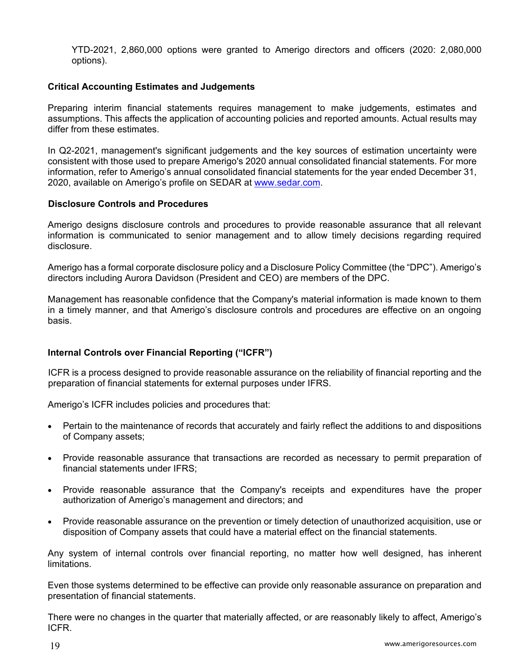YTD-2021, 2,860,000 options were granted to Amerigo directors and officers (2020: 2,080,000 options).

### **Critical Accounting Estimates and Judgements**

Preparing interim financial statements requires management to make judgements, estimates and assumptions. This affects the application of accounting policies and reported amounts. Actual results may differ from these estimates.

In Q2-2021, management's significant judgements and the key sources of estimation uncertainty were consistent with those used to prepare Amerigo's 2020 annual consolidated financial statements. For more information, refer to Amerigo's annual consolidated financial statements for the year ended December 31, 2020, available on Amerigo's profile on SEDAR at www.sedar.com.

### **Disclosure Controls and Procedures**

Amerigo designs disclosure controls and procedures to provide reasonable assurance that all relevant information is communicated to senior management and to allow timely decisions regarding required disclosure.

Amerigo has a formal corporate disclosure policy and a Disclosure Policy Committee (the "DPC"). Amerigo's directors including Aurora Davidson (President and CEO) are members of the DPC.

Management has reasonable confidence that the Company's material information is made known to them in a timely manner, and that Amerigo's disclosure controls and procedures are effective on an ongoing basis.

# **Internal Controls over Financial Reporting ("ICFR")**

ICFR is a process designed to provide reasonable assurance on the reliability of financial reporting and the preparation of financial statements for external purposes under IFRS.

Amerigo's ICFR includes policies and procedures that:

- Pertain to the maintenance of records that accurately and fairly reflect the additions to and dispositions of Company assets;
- Provide reasonable assurance that transactions are recorded as necessary to permit preparation of financial statements under IFRS;
- Provide reasonable assurance that the Company's receipts and expenditures have the proper authorization of Amerigo's management and directors; and
- Provide reasonable assurance on the prevention or timely detection of unauthorized acquisition, use or disposition of Company assets that could have a material effect on the financial statements.

Any system of internal controls over financial reporting, no matter how well designed, has inherent limitations.

Even those systems determined to be effective can provide only reasonable assurance on preparation and presentation of financial statements.

There were no changes in the quarter that materially affected, or are reasonably likely to affect, Amerigo's ICFR.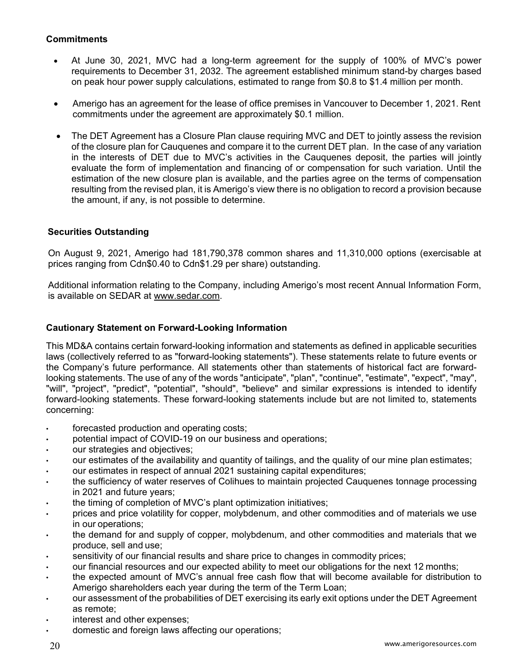# **Commitments**

- At June 30, 2021, MVC had a long-term agreement for the supply of 100% of MVC's power requirements to December 31, 2032. The agreement established minimum stand-by charges based on peak hour power supply calculations, estimated to range from \$0.8 to \$1.4 million per month.
- Amerigo has an agreement for the lease of office premises in Vancouver to December 1, 2021. Rent commitments under the agreement are approximately \$0.1 million.
- The DET Agreement has a Closure Plan clause requiring MVC and DET to jointly assess the revision of the closure plan for Cauquenes and compare it to the current DET plan. In the case of any variation in the interests of DET due to MVC's activities in the Cauquenes deposit, the parties will jointly evaluate the form of implementation and financing of or compensation for such variation. Until the estimation of the new closure plan is available, and the parties agree on the terms of compensation resulting from the revised plan, it is Amerigo's view there is no obligation to record a provision because the amount, if any, is not possible to determine.

# **Securities Outstanding**

On August 9, 2021, Amerigo had 181,790,378 common shares and 11,310,000 options (exercisable at prices ranging from Cdn\$0.40 to Cdn\$1.29 per share) outstanding.

Additional information relating to the Company, including Amerigo's most recent Annual Information Form, is available on SEDAR at www.sedar.com.

# **Cautionary Statement on Forward-Looking Information**

This MD&A contains certain forward-looking information and statements as defined in applicable securities laws (collectively referred to as "forward-looking statements"). These statements relate to future events or the Company's future performance. All statements other than statements of historical fact are forwardlooking statements. The use of any of the words "anticipate", "plan", "continue", "estimate", "expect", "may", "will", "project", "predict", "potential", "should", "believe" and similar expressions is intended to identify forward-looking statements. These forward-looking statements include but are not limited to, statements concerning:

- forecasted production and operating costs;
- potential impact of COVID-19 on our business and operations;
- our strategies and objectives;
- our estimates of the availability and quantity of tailings, and the quality of our mine plan estimates;
- our estimates in respect of annual 2021 sustaining capital expenditures;
- the sufficiency of water reserves of Colihues to maintain projected Cauquenes tonnage processing in 2021 and future years;
- the timing of completion of MVC's plant optimization initiatives;
- prices and price volatility for copper, molybdenum, and other commodities and of materials we use in our operations;
- the demand for and supply of copper, molybdenum, and other commodities and materials that we produce, sell and use;
- sensitivity of our financial results and share price to changes in commodity prices;
- our financial resources and our expected ability to meet our obligations for the next 12 months;
- the expected amount of MVC's annual free cash flow that will become available for distribution to Amerigo shareholders each year during the term of the Term Loan;
- our assessment of the probabilities of DET exercising its early exit options under the DET Agreement as remote;
- interest and other expenses;
- domestic and foreign laws affecting our operations;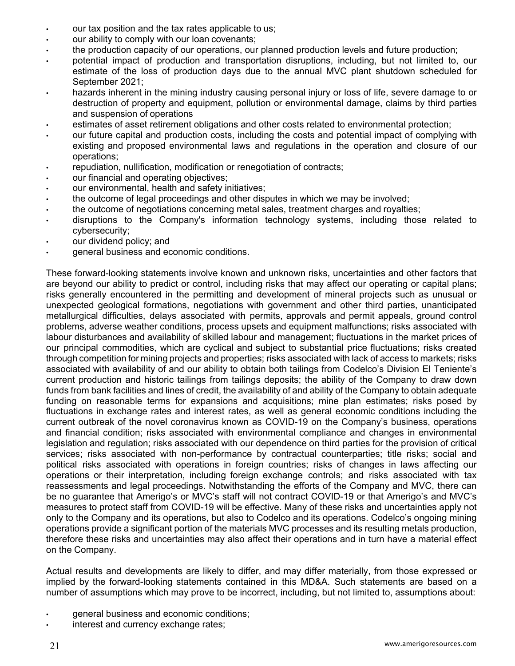- our tax position and the tax rates applicable to us;
- our ability to comply with our loan covenants;
- the production capacity of our operations, our planned production levels and future production;
- potential impact of production and transportation disruptions, including, but not limited to, our estimate of the loss of production days due to the annual MVC plant shutdown scheduled for September 2021;
- hazards inherent in the mining industry causing personal injury or loss of life, severe damage to or destruction of property and equipment, pollution or environmental damage, claims by third parties and suspension of operations
- estimates of asset retirement obligations and other costs related to environmental protection;
- our future capital and production costs, including the costs and potential impact of complying with existing and proposed environmental laws and regulations in the operation and closure of our operations;
- repudiation, nullification, modification or renegotiation of contracts;
- our financial and operating objectives;
- our environmental, health and safety initiatives;
- the outcome of legal proceedings and other disputes in which we may be involved;
- the outcome of negotiations concerning metal sales, treatment charges and royalties;
- disruptions to the Company's information technology systems, including those related to cybersecurity;
- our dividend policy; and
- general business and economic conditions.

These forward-looking statements involve known and unknown risks, uncertainties and other factors that are beyond our ability to predict or control, including risks that may affect our operating or capital plans; risks generally encountered in the permitting and development of mineral projects such as unusual or unexpected geological formations, negotiations with government and other third parties, unanticipated metallurgical difficulties, delays associated with permits, approvals and permit appeals, ground control problems, adverse weather conditions, process upsets and equipment malfunctions; risks associated with labour disturbances and availability of skilled labour and management; fluctuations in the market prices of our principal commodities, which are cyclical and subject to substantial price fluctuations; risks created through competition for mining projects and properties; risks associated with lack of access to markets; risks associated with availability of and our ability to obtain both tailings from Codelco's Division El Teniente's current production and historic tailings from tailings deposits; the ability of the Company to draw down funds from bank facilities and lines of credit, the availability of and ability of the Company to obtain adequate funding on reasonable terms for expansions and acquisitions; mine plan estimates; risks posed by fluctuations in exchange rates and interest rates, as well as general economic conditions including the current outbreak of the novel coronavirus known as COVID-19 on the Company's business, operations and financial condition; risks associated with environmental compliance and changes in environmental legislation and regulation; risks associated with our dependence on third parties for the provision of critical services; risks associated with non-performance by contractual counterparties; title risks; social and political risks associated with operations in foreign countries; risks of changes in laws affecting our operations or their interpretation, including foreign exchange controls; and risks associated with tax reassessments and legal proceedings. Notwithstanding the efforts of the Company and MVC, there can be no guarantee that Amerigo's or MVC's staff will not contract COVID-19 or that Amerigo's and MVC's measures to protect staff from COVID-19 will be effective. Many of these risks and uncertainties apply not only to the Company and its operations, but also to Codelco and its operations. Codelco's ongoing mining operations provide a significant portion of the materials MVC processes and its resulting metals production, therefore these risks and uncertainties may also affect their operations and in turn have a material effect on the Company.

Actual results and developments are likely to differ, and may differ materially, from those expressed or implied by the forward-looking statements contained in this MD&A. Such statements are based on a number of assumptions which may prove to be incorrect, including, but not limited to, assumptions about:

- general business and economic conditions;
- interest and currency exchange rates;